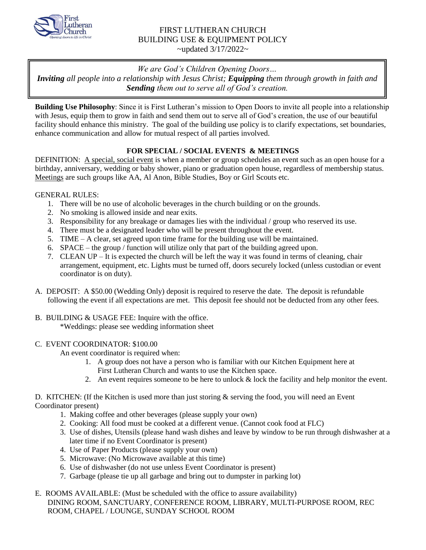

## FIRST LUTHERAN CHURCH BUILDING USE & EQUIPMENT POLICY  $\sim$ updated 3/17/2022 $\sim$

*We are God's Children Opening Doors…* 

*Inviting all people into a relationship with Jesus Christ; Equipping them through growth in faith and Sending them out to serve all of God's creation.*

**Building Use Philosophy**: Since it is First Lutheran's mission to Open Doors to invite all people into a relationship with Jesus, equip them to grow in faith and send them out to serve all of God's creation, the use of our beautiful facility should enhance this ministry. The goal of the building use policy is to clarify expectations, set boundaries, enhance communication and allow for mutual respect of all parties involved.

# **FOR SPECIAL / SOCIAL EVENTS & MEETINGS**

DEFINITION: A special, social event is when a member or group schedules an event such as an open house for a birthday, anniversary, wedding or baby shower, piano or graduation open house, regardless of membership status. Meetings are such groups like AA, Al Anon, Bible Studies, Boy or Girl Scouts etc.

## GENERAL RULES:

- 1. There will be no use of alcoholic beverages in the church building or on the grounds.
- 2. No smoking is allowed inside and near exits.
- 3. Responsibility for any breakage or damages lies with the individual / group who reserved its use.
- 4. There must be a designated leader who will be present throughout the event.
- 5. TIME A clear, set agreed upon time frame for the building use will be maintained.
- 6. SPACE the group / function will utilize only that part of the building agreed upon.
- 7. CLEAN UP It is expected the church will be left the way it was found in terms of cleaning, chair arrangement, equipment, etc. Lights must be turned off, doors securely locked (unless custodian or event coordinator is on duty).
- A. DEPOSIT: A \$50.00 (Wedding Only) deposit is required to reserve the date. The deposit is refundable following the event if all expectations are met. This deposit fee should not be deducted from any other fees.
- B. BUILDING & USAGE FEE: Inquire with the office. \*Weddings: please see wedding information sheet

### C. EVENT COORDINATOR: \$100.00

An event coordinator is required when:

- 1. A group does not have a person who is familiar with our Kitchen Equipment here at First Lutheran Church and wants to use the Kitchen space.
- 2. An event requires someone to be here to unlock  $&$  lock the facility and help monitor the event.

### D. KITCHEN: (If the Kitchen is used more than just storing & serving the food, you will need an Event Coordinator present)

- 1. Making coffee and other beverages (please supply your own)
- 2. Cooking: All food must be cooked at a different venue. (Cannot cook food at FLC)
- 3. Use of dishes, Utensils (please hand wash dishes and leave by window to be run through dishwasher at a later time if no Event Coordinator is present)
- 4. Use of Paper Products (please supply your own)
- 5. Microwave: (No Microwave available at this time)
- 6. Use of dishwasher (do not use unless Event Coordinator is present)
- 7. Garbage (please tie up all garbage and bring out to dumpster in parking lot)

### E. ROOMS AVAILABLE: (Must be scheduled with the office to assure availability) DINING ROOM, SANCTUARY, CONFERENCE ROOM, LIBRARY, MULTI-PURPOSE ROOM, REC ROOM, CHAPEL / LOUNGE, SUNDAY SCHOOL ROOM